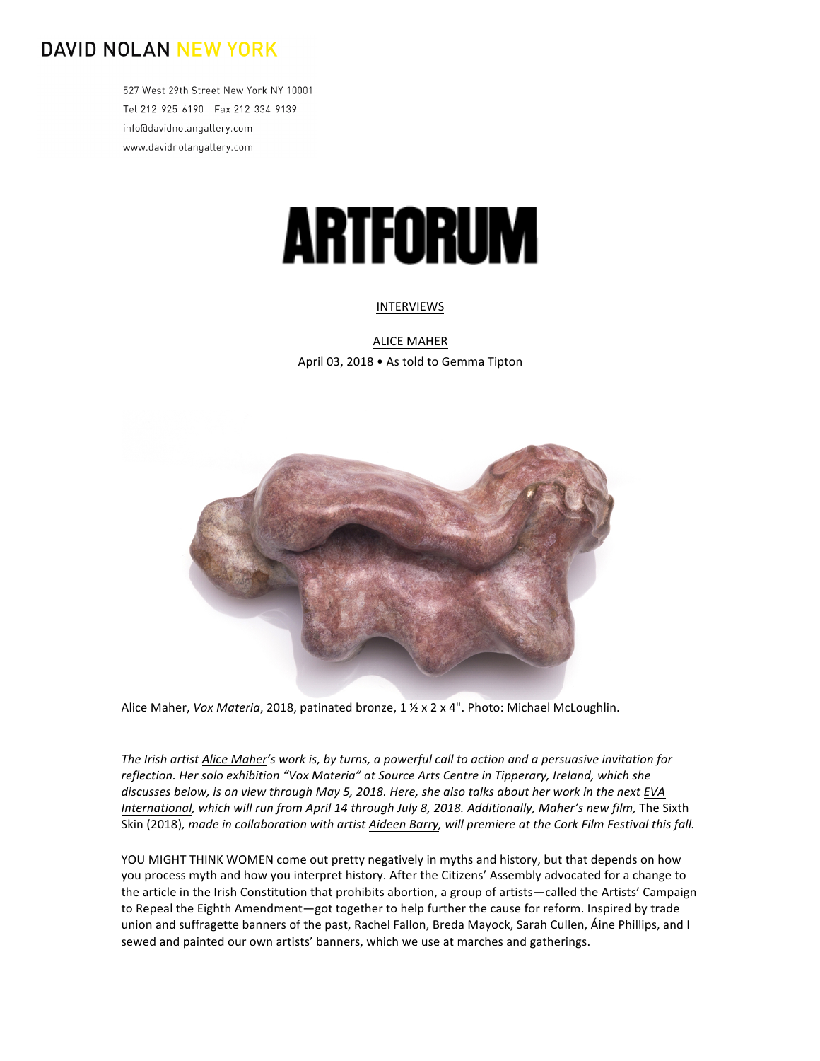## **DAVID NOLAN NEW YORK**

527 West 29th Street New York NY 10001 Tel 212-925-6190 Fax 212-334-9139 info@davidnolangallery.com www.davidnolangallery.com

## **ARTFORUM**

## [INTERVIEWS](https://www.artforum.com/interviews)

**ALICE MAHER** April 03, 2018 • As told to Gemma Tipton



Alice Maher, *Vox Materia*, 2018, patinated bronze, 1 1/2 x 2 x 4". Photo: Michael McLoughlin.

The Irish artist Alice Maher's work is, by turns, a powerful call to action and a persuasive invitation for reflection. Her solo exhibition "Vox Materia" at Source Arts Centre in Tipperary, Ireland, which she discusses below, is on view through May 5, 2018. Here, she also talks about her work in the next [EVA](https://www.artforum.com/artguide/eva-international-ireland-biennial-7701/-133633) *[International](https://www.artforum.com/artguide/eva-international-ireland-biennial-7701/-133633)*, which will run from April 14 through July 8, 2018. Additionally, Maher's new film, The Sixth Skin (2018), made in collaboration with artist Aideen Barry, will premiere at the Cork Film Festival this fall.

YOU MIGHT THINK WOMEN come out pretty negatively in myths and history, but that depends on how you process myth and how you interpret history. After the Citizens' Assembly advocated for a change to the article in the Irish Constitution that prohibits abortion, a group of artists—called the Artists' Campaign to Repeal the Eighth Amendment—got together to help further the cause for reform. Inspired by trade union and suffragette banners of the past, Rachel Fallon, Breda Mayock, Sarah Cullen, Áine Phillips, and I sewed and painted our own artists' banners, which we use at marches and gatherings.